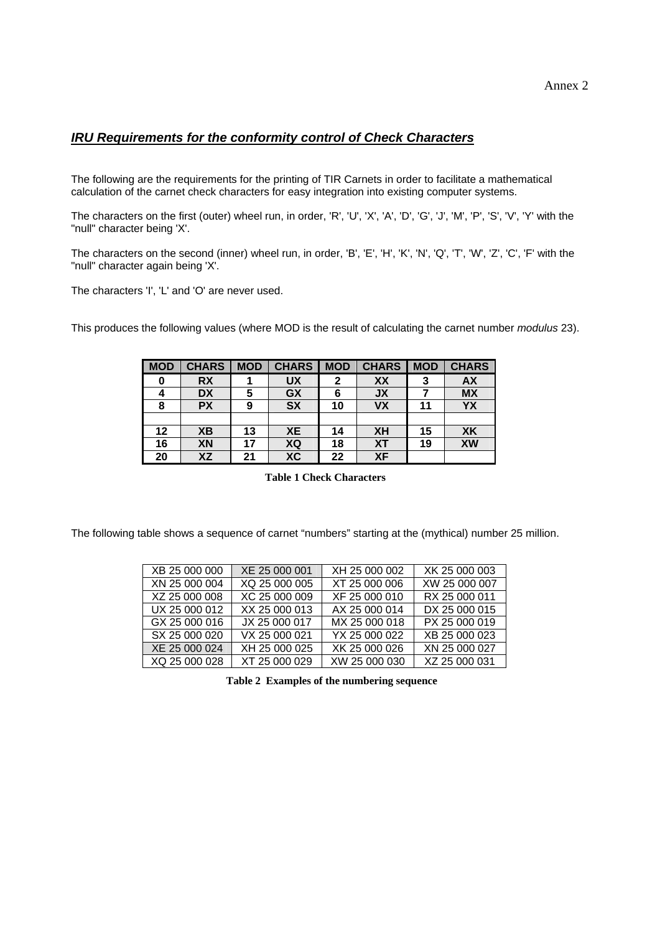## *IRU Requirements for the conformity control of Check Characters*

The following are the requirements for the printing of TIR Carnets in order to facilitate a mathematical calculation of the carnet check characters for easy integration into existing computer systems.

The characters on the first (outer) wheel run, in order, 'R', 'U', 'X', 'A', 'D', 'G', 'J', 'M', 'P', 'S', 'V', 'Y' with the "null" character being 'X'.

The characters on the second (inner) wheel run, in order, 'B', 'E', 'H', 'K', 'N', 'Q', 'T', 'W', 'Z', 'C', 'F' with the "null" character again being 'X'.

The characters 'I', 'L' and 'O' are never used.

This produces the following values (where MOD is the result of calculating the carnet number *modulus* 23).

| <b>MOD</b> | <b>CHARS</b> | <b>MOD</b> | <b>CHARS</b> | <b>MOD</b> | <b>CHARS</b> | <b>MOD</b> | <b>CHARS</b> |
|------------|--------------|------------|--------------|------------|--------------|------------|--------------|
|            | <b>RX</b>    |            | <b>UX</b>    |            | XX           | 3          | <b>AX</b>    |
|            | <b>DX</b>    | 5          | GX           |            | <b>JX</b>    |            | <b>MX</b>    |
| 8          | <b>PX</b>    | 9          | <b>SX</b>    | 10         | <b>VX</b>    | 11         | YX           |
|            |              |            |              |            |              |            |              |
| 12         | XB           | 13         | <b>XE</b>    | 14         | XH           | 15         | <b>XK</b>    |
| 16         | XN           | 17         | XQ           | 18         | XT           | 19         | XW           |
| 20         | XZ           | 21         | <b>XC</b>    | 22         | <b>XF</b>    |            |              |

**Table 1 Check Characters** 

The following table shows a sequence of carnet "numbers" starting at the (mythical) number 25 million.

| XB 25 000 000 | XE 25 000 001 | XH 25 000 002 | XK 25 000 003 |
|---------------|---------------|---------------|---------------|
| XN 25 000 004 | XQ 25 000 005 | XT 25 000 006 | XW 25 000 007 |
| XZ 25 000 008 | XC 25 000 009 | XF 25 000 010 | RX 25 000 011 |
| UX 25 000 012 | XX 25 000 013 | AX 25 000 014 | DX 25 000 015 |
| GX 25 000 016 | JX 25 000 017 | MX 25 000 018 | PX 25 000 019 |
| SX 25 000 020 | VX 25 000 021 | YX 25 000 022 | XB 25 000 023 |
| XE 25 000 024 | XH 25 000 025 | XK 25 000 026 | XN 25 000 027 |
| XQ 25 000 028 | XT 25 000 029 | XW 25 000 030 | XZ 25 000 031 |

**Table 2 Examples of the numbering sequence**